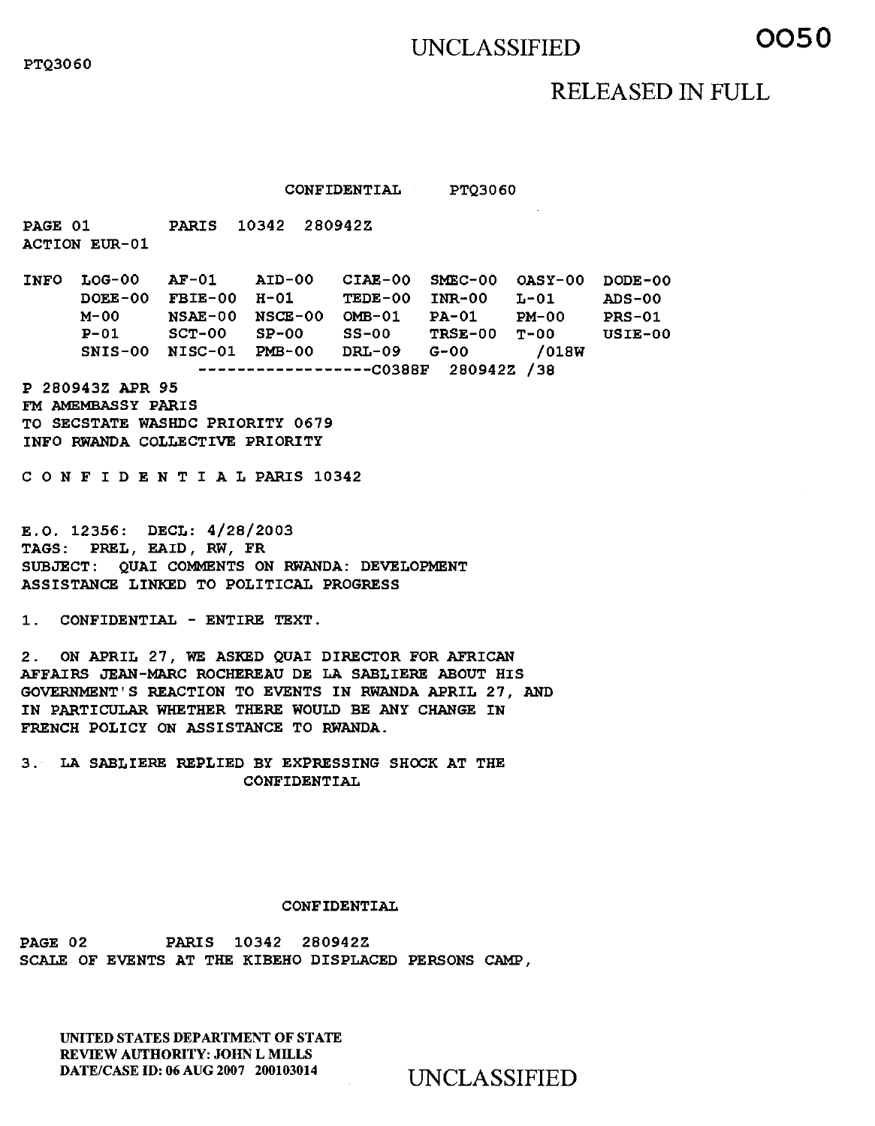## UNCLASSIFIED **0050**

## RELEASED IN FULL

CONFIDENTIAL PTQ3060

PAGE 01 PARIS 10342 280942Z ACTION EUR-01

INFO LOG-00 AF-01 AID-00 CIAE-00 SMEC-00 OASY-00 DODE-00 DOEE-00 FBIE-00 H-01 TEDE-00 INR-00 L-01 ADS-00 M-00 NSAE-00 NSCE-00 OMB-01 PA-01 PM-00 PRS-01<br>P-01 SCE-00 OMB-01 PA-01 PM-00 PRS-01 P-01 SCT-00 SP-00 SS-00 TRSE-00 T-00 USIE-00 SNIS-00 NISC-01 PMB-00 DRL-09 G-00 /018W -----------------C0388F 280942Z /38

P 280943Z APR 95 FM AMEMBASSY PARIS TO SECSTATE WASHDC PRIORITY 0679 INFO RWANDA COLLECTIVE PRIORITY

C O N F I D E N T I A L PARIS 10342

E.O. 12356: DECL: 4/28/2003 TAGS: PREL, EAID, RW, FR SUBJECT: QUAI COMMENTS ON RWANDA: DEVELOPMENT ASSISTANCE LINKED TO POLITICAL PROGRESS

1. CONFIDENTIAL - ENTIRE TEXT.

2. ON APRIL 27, WE ASKED QUAI DIRECTOR FOR AFRICAN AFFAIRS JEAN-MARC ROCHEREAU DE LA SABLIERE ABOUT HIS GOVERNMENT'S REACTION TO EVENTS IN RWANDA APRIL 27, AND IN PARTICULAR WHETHER THERE WOULD BE ANY CHANGE IN FRENCH POLICY ON ASSISTANCE TO RWANDA.

3. LA SABLIERE REPLIED BY EXPRESSING SHOCK AT THE CONFIDENTIAL

## CONFIDENTIAL

PAGE 02 PARIS 10342 280942Z SCALE OF EVENTS AT THE KIBEHO DISPLACED PERSONS CAMP,

UNITED STATES DEPARTMENT OF STATE REVIEW AUTHORITY: JOHN L MILLS DATE/CASE ID: 06 AUG 2007 200103014 UNCLASSIFIED